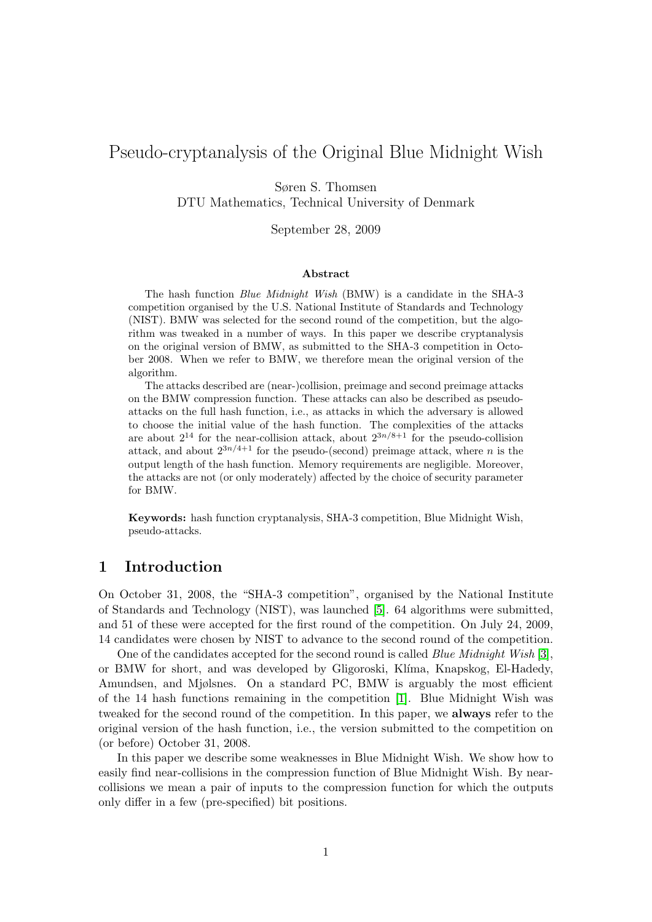# Pseudo-cryptanalysis of the Original Blue Midnight Wish

Søren S. Thomsen

DTU Mathematics, Technical University of Denmark

September 28, 2009

#### Abstract

The hash function Blue Midnight Wish (BMW) is a candidate in the SHA-3 competition organised by the U.S. National Institute of Standards and Technology (NIST). BMW was selected for the second round of the competition, but the algorithm was tweaked in a number of ways. In this paper we describe cryptanalysis on the original version of BMW, as submitted to the SHA-3 competition in October 2008. When we refer to BMW, we therefore mean the original version of the algorithm.

The attacks described are (near-)collision, preimage and second preimage attacks on the BMW compression function. These attacks can also be described as pseudoattacks on the full hash function, i.e., as attacks in which the adversary is allowed to choose the initial value of the hash function. The complexities of the attacks are about  $2^{14}$  for the near-collision attack, about  $2^{3n/8+1}$  for the pseudo-collision attack, and about  $2^{3n/4+1}$  for the pseudo-(second) preimage attack, where n is the output length of the hash function. Memory requirements are negligible. Moreover, the attacks are not (or only moderately) affected by the choice of security parameter for BMW.

Keywords: hash function cryptanalysis, SHA-3 competition, Blue Midnight Wish, pseudo-attacks.

## 1 Introduction

On October 31, 2008, the "SHA-3 competition", organised by the National Institute of Standards and Technology (NIST), was launched [\[5\]](#page-13-0). 64 algorithms were submitted, and 51 of these were accepted for the first round of the competition. On July 24, 2009, 14 candidates were chosen by NIST to advance to the second round of the competition.

One of the candidates accepted for the second round is called Blue Midnight Wish [\[3\]](#page-12-0), or BMW for short, and was developed by Gligoroski, Kl´ıma, Knapskog, El-Hadedy, Amundsen, and Mjølsnes. On a standard PC, BMW is arguably the most efficient of the 14 hash functions remaining in the competition [\[1\]](#page-12-1). Blue Midnight Wish was tweaked for the second round of the competition. In this paper, we always refer to the original version of the hash function, i.e., the version submitted to the competition on (or before) October 31, 2008.

In this paper we describe some weaknesses in Blue Midnight Wish. We show how to easily find near-collisions in the compression function of Blue Midnight Wish. By nearcollisions we mean a pair of inputs to the compression function for which the outputs only differ in a few (pre-specified) bit positions.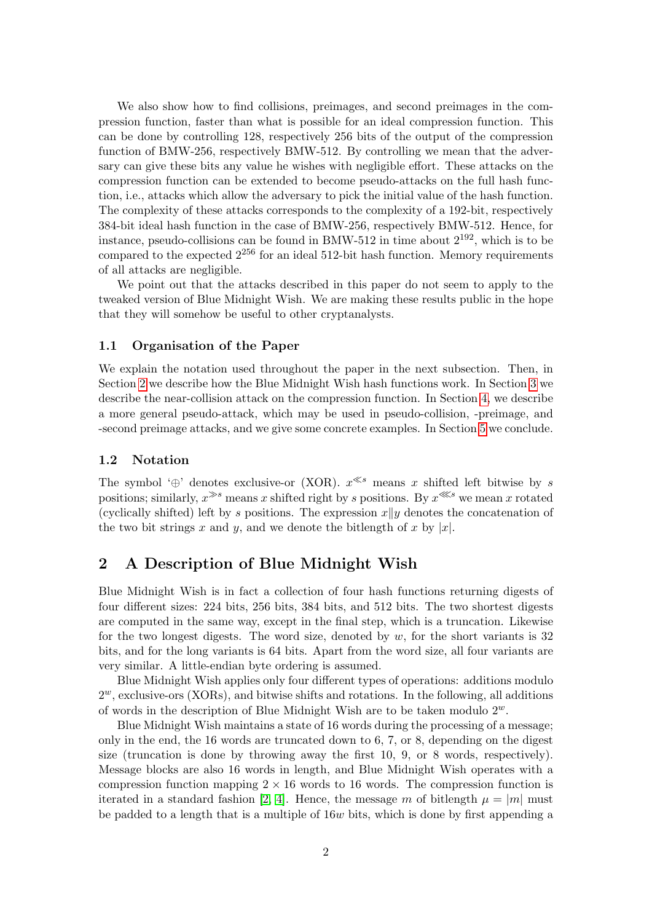We also show how to find collisions, preimages, and second preimages in the compression function, faster than what is possible for an ideal compression function. This can be done by controlling 128, respectively 256 bits of the output of the compression function of BMW-256, respectively BMW-512. By controlling we mean that the adversary can give these bits any value he wishes with negligible effort. These attacks on the compression function can be extended to become pseudo-attacks on the full hash function, i.e., attacks which allow the adversary to pick the initial value of the hash function. The complexity of these attacks corresponds to the complexity of a 192-bit, respectively 384-bit ideal hash function in the case of BMW-256, respectively BMW-512. Hence, for instance, pseudo-collisions can be found in BMW-512 in time about  $2^{192}$ , which is to be compared to the expected  $2^{256}$  for an ideal 512-bit hash function. Memory requirements of all attacks are negligible.

We point out that the attacks described in this paper do not seem to apply to the tweaked version of Blue Midnight Wish. We are making these results public in the hope that they will somehow be useful to other cryptanalysts.

## 1.1 Organisation of the Paper

We explain the notation used throughout the paper in the next subsection. Then, in Section [2](#page-1-0) we describe how the Blue Midnight Wish hash functions work. In Section [3](#page-4-0) we describe the near-collision attack on the compression function. In Section [4,](#page-7-0) we describe a more general pseudo-attack, which may be used in pseudo-collision, -preimage, and -second preimage attacks, and we give some concrete examples. In Section [5](#page-12-2) we conclude.

## 1.2 Notation

The symbol '⊕' denotes exclusive-or (XOR).  $x^{\ll s}$  means x shifted left bitwise by s positions; similarly,  $x^{s}$  means x shifted right by s positions. By  $x^{s}$  we mean x rotated (cyclically shifted) left by s positions. The expression  $x||y$  denotes the concatenation of the two bit strings x and y, and we denote the bitlength of x by |x|.

## <span id="page-1-0"></span>2 A Description of Blue Midnight Wish

Blue Midnight Wish is in fact a collection of four hash functions returning digests of four different sizes: 224 bits, 256 bits, 384 bits, and 512 bits. The two shortest digests are computed in the same way, except in the final step, which is a truncation. Likewise for the two longest digests. The word size, denoted by  $w$ , for the short variants is 32 bits, and for the long variants is 64 bits. Apart from the word size, all four variants are very similar. A little-endian byte ordering is assumed.

Blue Midnight Wish applies only four different types of operations: additions modulo  $2^w$ , exclusive-ors (XORs), and bitwise shifts and rotations. In the following, all additions of words in the description of Blue Midnight Wish are to be taken modulo  $2^w$ .

Blue Midnight Wish maintains a state of 16 words during the processing of a message; only in the end, the 16 words are truncated down to 6, 7, or 8, depending on the digest size (truncation is done by throwing away the first 10, 9, or 8 words, respectively). Message blocks are also 16 words in length, and Blue Midnight Wish operates with a compression function mapping  $2 \times 16$  words to 16 words. The compression function is iterated in a standard fashion [\[2,](#page-12-3) [4\]](#page-13-1). Hence, the message m of bitlength  $\mu = |m|$  must be padded to a length that is a multiple of  $16w$  bits, which is done by first appending a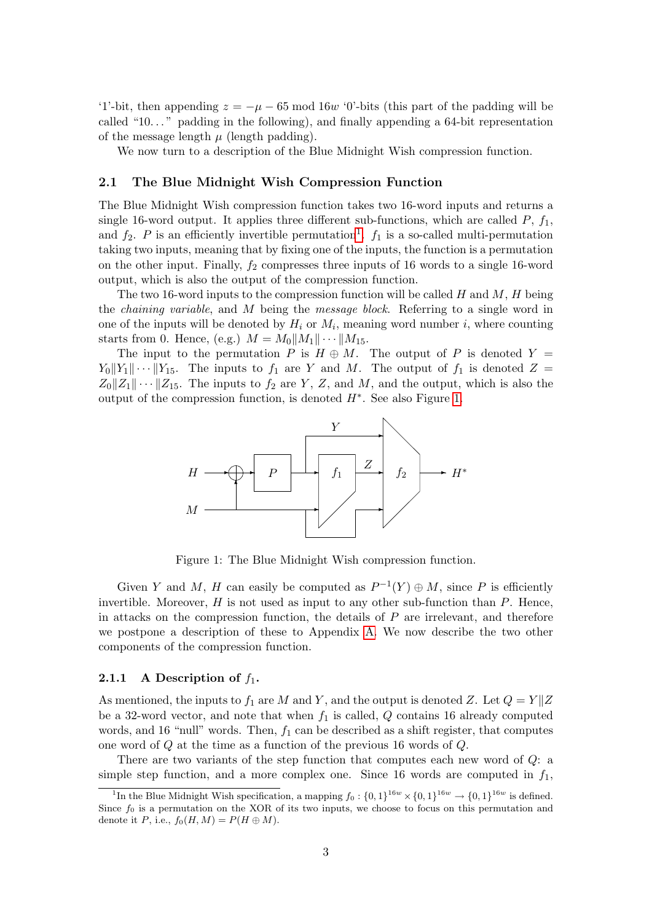'1'-bit, then appending  $z = -\mu - 65 \mod 16w$  '0'-bits (this part of the padding will be called "10..." padding in the following), and finally appending a  $64$ -bit representation of the message length  $\mu$  (length padding).

We now turn to a description of the Blue Midnight Wish compression function.

### 2.1 The Blue Midnight Wish Compression Function

The Blue Midnight Wish compression function takes two 16-word inputs and returns a single 16-word output. It applies three different sub-functions, which are called  $P$ ,  $f_1$ , and  $f_2$ . P is an efficiently invertible permutation<sup>[1](#page-2-0)</sup>.  $f_1$  is a so-called multi-permutation taking two inputs, meaning that by fixing one of the inputs, the function is a permutation on the other input. Finally,  $f_2$  compresses three inputs of 16 words to a single 16-word output, which is also the output of the compression function.

The two 16-word inputs to the compression function will be called H and M, H being the chaining variable, and M being the message block. Referring to a single word in one of the inputs will be denoted by  $H_i$  or  $M_i$ , meaning word number i, where counting starts from 0. Hence, (e.g.)  $M = M_0||M_1|| \cdots ||M_{15}$ .

The input to the permutation P is  $H \oplus M$ . The output of P is denoted Y =  $Y_0||Y_1|| \cdots ||Y_{15}$ . The inputs to  $f_1$  are Y and M. The output of  $f_1$  is denoted  $Z =$  $Z_0||Z_1|| \cdots ||Z_{15}$ . The inputs to  $f_2$  are Y, Z, and M, and the output, which is also the output of the compression function, is denoted  $H^*$ . See also Figure [1.](#page-2-1)



<span id="page-2-1"></span>Figure 1: The Blue Midnight Wish compression function.

Given Y and M, H can easily be computed as  $P^{-1}(Y) \oplus M$ , since P is efficiently invertible. Moreover,  $H$  is not used as input to any other sub-function than  $P$ . Hence, in attacks on the compression function, the details of  $P$  are irrelevant, and therefore we postpone a description of these to Appendix [A.](#page-13-2) We now describe the two other components of the compression function.

### <span id="page-2-2"></span>2.1.1 A Description of  $f_1$ .

As mentioned, the inputs to  $f_1$  are M and Y, and the output is denoted Z. Let  $Q = Y||Z$ be a 32-word vector, and note that when  $f_1$  is called,  $Q$  contains 16 already computed words, and 16 "null" words. Then,  $f_1$  can be described as a shift register, that computes one word of Q at the time as a function of the previous 16 words of Q.

There are two variants of the step function that computes each new word of Q: a simple step function, and a more complex one. Since 16 words are computed in  $f_1$ ,

<span id="page-2-0"></span><sup>&</sup>lt;sup>1</sup>In the Blue Midnight Wish specification, a mapping  $f_0: \{0,1\}^{16w} \times \{0,1\}^{16w} \to \{0,1\}^{16w}$  is defined. Since  $f_0$  is a permutation on the XOR of its two inputs, we choose to focus on this permutation and denote it P, i.e.,  $f_0(H, M) = P(H \oplus M)$ .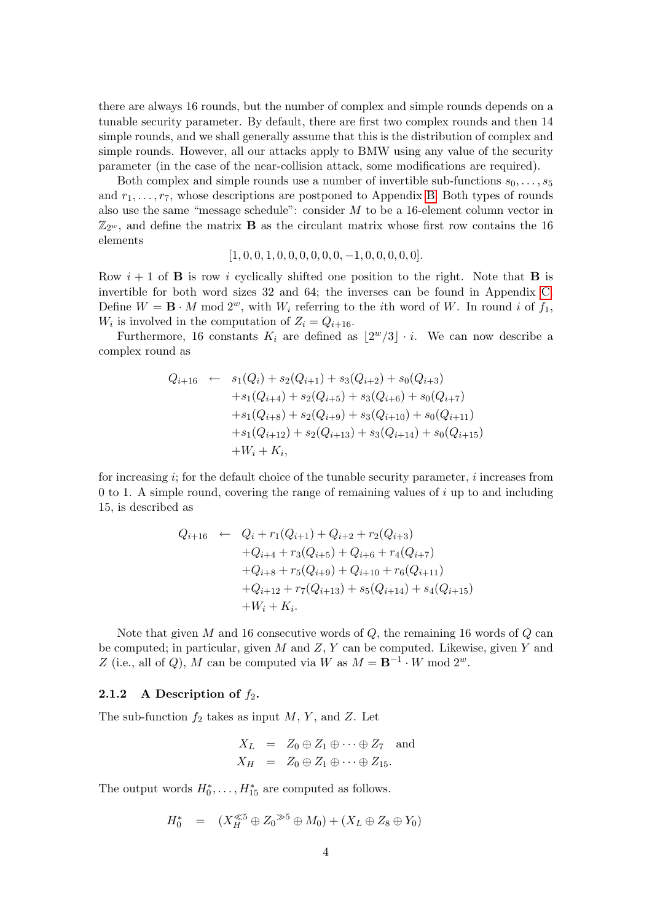there are always 16 rounds, but the number of complex and simple rounds depends on a tunable security parameter. By default, there are first two complex rounds and then 14 simple rounds, and we shall generally assume that this is the distribution of complex and simple rounds. However, all our attacks apply to BMW using any value of the security parameter (in the case of the near-collision attack, some modifications are required).

Both complex and simple rounds use a number of invertible sub-functions  $s_0, \ldots, s_5$ and  $r_1, \ldots, r_7$ , whose descriptions are postponed to Appendix [B.](#page-14-0) Both types of rounds also use the same "message schedule": consider M to be a 16-element column vector in  $\mathbb{Z}_{2^w}$ , and define the matrix **B** as the circulant matrix whose first row contains the 16 elements

$$
[1, 0, 0, 1, 0, 0, 0, 0, 0, 0, -1, 0, 0, 0, 0, 0].
$$

Row  $i + 1$  of **B** is row i cyclically shifted one position to the right. Note that **B** is invertible for both word sizes 32 and 64; the inverses can be found in Appendix [C.](#page-14-1) Define  $W = \mathbf{B} \cdot M \mod 2^w$ , with  $W_i$  referring to the *i*th word of W. In round *i* of  $f_1$ ,  $W_i$  is involved in the computation of  $Z_i = Q_{i+16}$ .

Furthermore, 16 constants  $K_i$  are defined as  $\lfloor 2^w/3 \rfloor \cdot i$ . We can now describe a complex round as

$$
Q_{i+16} \leftarrow s_1(Q_i) + s_2(Q_{i+1}) + s_3(Q_{i+2}) + s_0(Q_{i+3})
$$
  
+ 
$$
s_1(Q_{i+4}) + s_2(Q_{i+5}) + s_3(Q_{i+6}) + s_0(Q_{i+7})
$$
  
+ 
$$
s_1(Q_{i+8}) + s_2(Q_{i+9}) + s_3(Q_{i+10}) + s_0(Q_{i+11})
$$
  
+ 
$$
s_1(Q_{i+12}) + s_2(Q_{i+13}) + s_3(Q_{i+14}) + s_0(Q_{i+15})
$$
  
+ 
$$
W_i + K_i,
$$

for increasing  $i$ ; for the default choice of the tunable security parameter,  $i$  increases from 0 to 1. A simple round, covering the range of remaining values of  $i$  up to and including 15, is described as

$$
Q_{i+16} \leftarrow Q_i + r_1(Q_{i+1}) + Q_{i+2} + r_2(Q_{i+3})
$$
  
+
$$
Q_{i+4} + r_3(Q_{i+5}) + Q_{i+6} + r_4(Q_{i+7})
$$
  
+
$$
Q_{i+8} + r_5(Q_{i+9}) + Q_{i+10} + r_6(Q_{i+11})
$$
  
+
$$
Q_{i+12} + r_7(Q_{i+13}) + s_5(Q_{i+14}) + s_4(Q_{i+15})
$$
  
+
$$
W_i + K_i.
$$

Note that given  $M$  and 16 consecutive words of  $Q$ , the remaining 16 words of  $Q$  can be computed; in particular, given  $M$  and  $Z, Y$  can be computed. Likewise, given  $Y$  and Z (i.e., all of Q), M can be computed via W as  $M = \mathbf{B}^{-1} \cdot W \mod 2^w$ .

#### 2.1.2 A Description of  $f_2$ .

The sub-function  $f_2$  takes as input M, Y, and Z. Let

$$
X_L = Z_0 \oplus Z_1 \oplus \cdots \oplus Z_7 \text{ and}
$$
  

$$
X_H = Z_0 \oplus Z_1 \oplus \cdots \oplus Z_{15}.
$$

The output words  $H_0^*, \ldots, H_{15}^*$  are computed as follows.

$$
H_0^* = (X_H^{\ll 5} \oplus Z_0^{\gg 5} \oplus M_0) + (X_L \oplus Z_8 \oplus Y_0)
$$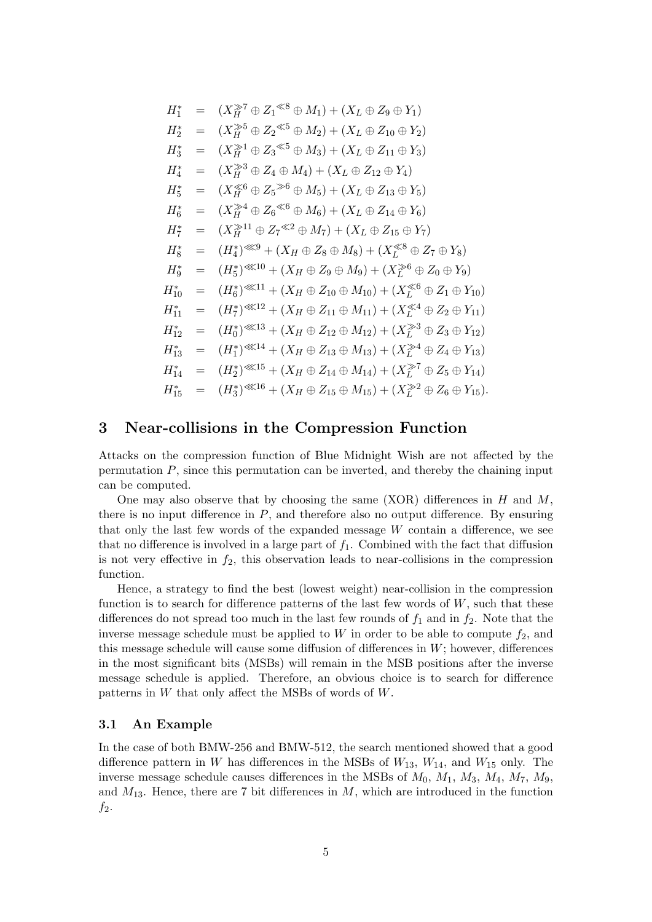$$
H_1^* = (X_H^{\geq 7} \oplus Z_1^{\leq 8} \oplus M_1) + (X_L \oplus Z_9 \oplus Y_1)
$$
  
\n
$$
H_2^* = (X_H^{\geq 5} \oplus Z_2^{\leq 5} \oplus M_2) + (X_L \oplus Z_{10} \oplus Y_2)
$$
  
\n
$$
H_3^* = (X_H^{\geq 1} \oplus Z_3^{\leq 5} \oplus M_3) + (X_L \oplus Z_{11} \oplus Y_3)
$$
  
\n
$$
H_4^* = (X_H^{\geq 3} \oplus Z_4 \oplus M_4) + (X_L \oplus Z_{12} \oplus Y_4)
$$
  
\n
$$
H_5^* = (X_H^{\geq 4} \oplus Z_6^{\leq 6} \oplus M_5) + (X_L \oplus Z_{13} \oplus Y_5)
$$
  
\n
$$
H_6^* = (X_H^{\geq 11} \oplus Z_7^{\leq 2} \oplus M_7) + (X_L \oplus Z_{15} \oplus Y_7)
$$
  
\n
$$
H_8^* = (H_4^*)^{\leq 89} + (X_H \oplus Z_8 \oplus M_8) + (X_L^{\leq 8} \oplus Z_7 \oplus Y_8)
$$
  
\n
$$
H_9^* = (H_5^*)^{\leq 810} + (X_H \oplus Z_9 \oplus M_9) + (X_L^{\leq 6} \oplus Z_0 \oplus Y_9)
$$
  
\n
$$
H_{10}^* = (H_6^*)^{\leq 811} + (X_H \oplus Z_{10} \oplus M_{10}) + (X_L^{\leq 6} \oplus Z_1 \oplus Y_{10})
$$
  
\n
$$
H_{11}^* = (H_7^*)^{\leq 812} + (X_H \oplus Z_{11} \oplus M_{11}) + (X_L^{\leq 6} \oplus Z_1 \oplus Y_{10})
$$
  
\n
$$
H_{11}^* = (H_7^*)^{\leq 813} + (X_H \oplus Z_{12} \oplus M_{12}) + (X_L^{\geq 8} \oplus Z_3 \oplus Y_{1
$$

## <span id="page-4-0"></span>3 Near-collisions in the Compression Function

Attacks on the compression function of Blue Midnight Wish are not affected by the permutation  $P$ , since this permutation can be inverted, and thereby the chaining input can be computed.

One may also observe that by choosing the same  $(XOR)$  differences in H and M. there is no input difference in  $P$ , and therefore also no output difference. By ensuring that only the last few words of the expanded message  $W$  contain a difference, we see that no difference is involved in a large part of  $f_1$ . Combined with the fact that diffusion is not very effective in  $f_2$ , this observation leads to near-collisions in the compression function.

Hence, a strategy to find the best (lowest weight) near-collision in the compression function is to search for difference patterns of the last few words of  $W$ , such that these differences do not spread too much in the last few rounds of  $f_1$  and in  $f_2$ . Note that the inverse message schedule must be applied to W in order to be able to compute  $f_2$ , and this message schedule will cause some diffusion of differences in  $W$ ; however, differences in the most significant bits (MSBs) will remain in the MSB positions after the inverse message schedule is applied. Therefore, an obvious choice is to search for difference patterns in W that only affect the MSBs of words of W.

## 3.1 An Example

In the case of both BMW-256 and BMW-512, the search mentioned showed that a good difference pattern in W has differences in the MSBs of  $W_{13}$ ,  $W_{14}$ , and  $W_{15}$  only. The inverse message schedule causes differences in the MSBs of  $M_0$ ,  $M_1$ ,  $M_3$ ,  $M_4$ ,  $M_7$ ,  $M_9$ , and  $M_{13}$ . Hence, there are 7 bit differences in  $M$ , which are introduced in the function  $f_2$ .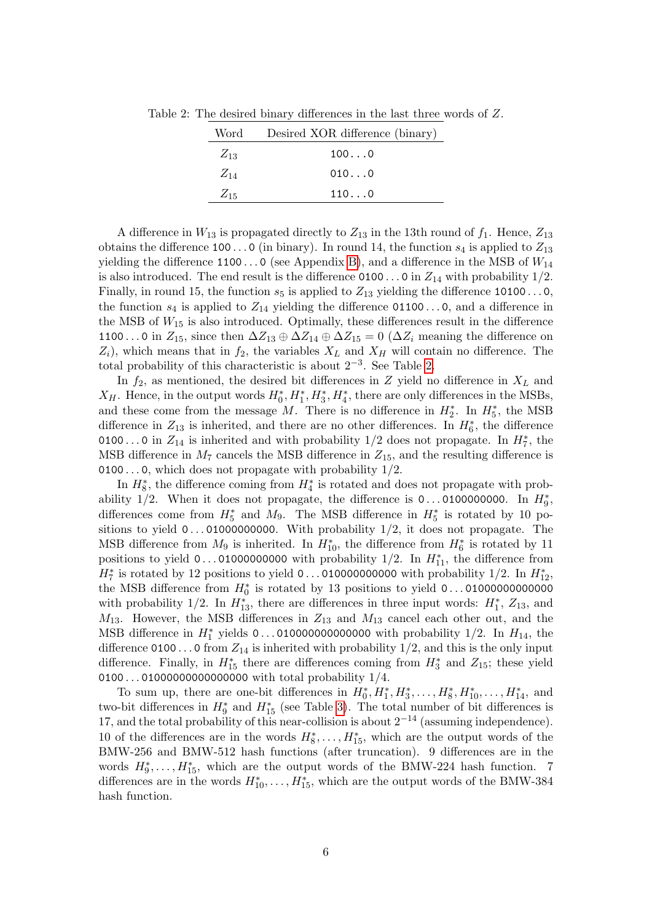|  |  | Table 2: The desired binary differences in the last three words of $Z$ . |  |  |  |  |
|--|--|--------------------------------------------------------------------------|--|--|--|--|
|  |  |                                                                          |  |  |  |  |

<span id="page-5-0"></span>

| Word     | Desired XOR difference (binary) |
|----------|---------------------------------|
| $Z_{13}$ | 1000                            |
| $Z_{14}$ | 0100                            |
| $Z_{15}$ | 1100                            |

A difference in  $W_{13}$  is propagated directly to  $Z_{13}$  in the 13th round of  $f_1$ . Hence,  $Z_{13}$ obtains the difference 100...0 (in binary). In round 14, the function  $s_4$  is applied to  $Z_{13}$ yielding the difference 1100...0 (see Appendix [B\)](#page-14-0), and a difference in the MSB of  $W_{14}$ is also introduced. The end result is the difference  $0100...$  0 in  $Z_{14}$  with probability  $1/2$ . Finally, in round 15, the function  $s_5$  is applied to  $Z_{13}$  yielding the difference 10100...0, the function  $s_4$  is applied to  $Z_{14}$  yielding the difference 01100...0, and a difference in the MSB of  $W_{15}$  is also introduced. Optimally, these differences result in the difference 1100...0 in  $Z_{15}$ , since then  $\Delta Z_{13} \oplus \Delta Z_{14} \oplus \Delta Z_{15} = 0$  ( $\Delta Z_i$  meaning the difference on  $Z_i$ , which means that in  $f_2$ , the variables  $X_L$  and  $X_H$  will contain no difference. The total probability of this characteristic is about  $2^{-3}$ . See Table [2.](#page-5-0)

In  $f_2$ , as mentioned, the desired bit differences in Z yield no difference in  $X_L$  and  $X_H$ . Hence, in the output words  $H_0^*, H_1^*, H_3^*, H_4^*$ , there are only differences in the MSBs, and these come from the message M. There is no difference in  $H_2^*$ . In  $H_5^*$ , the MSB difference in  $Z_{13}$  is inherited, and there are no other differences. In  $H_6^*$ , the difference 0100...0 in  $Z_{14}$  is inherited and with probability 1/2 does not propagate. In  $H_7^*$ , the MSB difference in  $M_7$  cancels the MSB difference in  $Z_{15}$ , and the resulting difference is 0100...0, which does not propagate with probability  $1/2$ .

In  $H_8^*$ , the difference coming from  $H_4^*$  is rotated and does not propagate with probability 1/2. When it does not propagate, the difference is  $0...0100000000$ . In  $H_9^*$ , differences come from  $H_5^*$  and  $M_9$ . The MSB difference in  $H_5^*$  is rotated by 10 positions to yield  $0 \ldots 01000000000$ . With probability  $1/2$ , it does not propagate. The MSB difference from  $M_9$  is inherited. In  $H_{10}^*$ , the difference from  $H_6^*$  is rotated by 11 positions to yield  $0 \ldots 01000000000$  with probability  $1/2$ . In  $H_{11}^*$ , the difference from  $H_7^*$  is rotated by 12 positions to yield 0...010000000000 with probability 1/2. In  $H_{12}^*$ , the MSB difference from H<sup>∗</sup> 0 is rotated by 13 positions to yield 0 . . . 01000000000000 with probability 1/2. In  $H_{13}^*$ , there are differences in three input words:  $H_1^*$ ,  $Z_{13}$ , and  $M_{13}$ . However, the MSB differences in  $Z_{13}$  and  $M_{13}$  cancel each other out, and the MSB difference in  $H_1^*$  yields 0...0100000000000000 with probability 1/2. In  $H_{14}$ , the difference 0100...0 from  $Z_{14}$  is inherited with probability 1/2, and this is the only input difference. Finally, in  $H_{15}^*$  there are differences coming from  $H_3^*$  and  $Z_{15}$ ; these yield 0100...01000000000000000000 with total probability 1/4.

To sum up, there are one-bit differences in  $H_0^*, H_1^*, H_3^*, \ldots, H_8^*, H_{10}^*, \ldots, H_{14}^*$ , and two-bit differences in  $H_9^*$  and  $H_{15}^*$  (see Table [3\)](#page-6-0). The total number of bit differences is 17, and the total probability of this near-collision is about  $2^{-14}$  (assuming independence). 10 of the differences are in the words  $H_8^*, \ldots, H_{15}^*$ , which are the output words of the BMW-256 and BMW-512 hash functions (after truncation). 9 differences are in the words  $H_9^*, \ldots, H_{15}^*$ , which are the output words of the BMW-224 hash function. 7 differences are in the words  $H_{10}^*, \ldots, H_{15}^*$ , which are the output words of the BMW-384 hash function.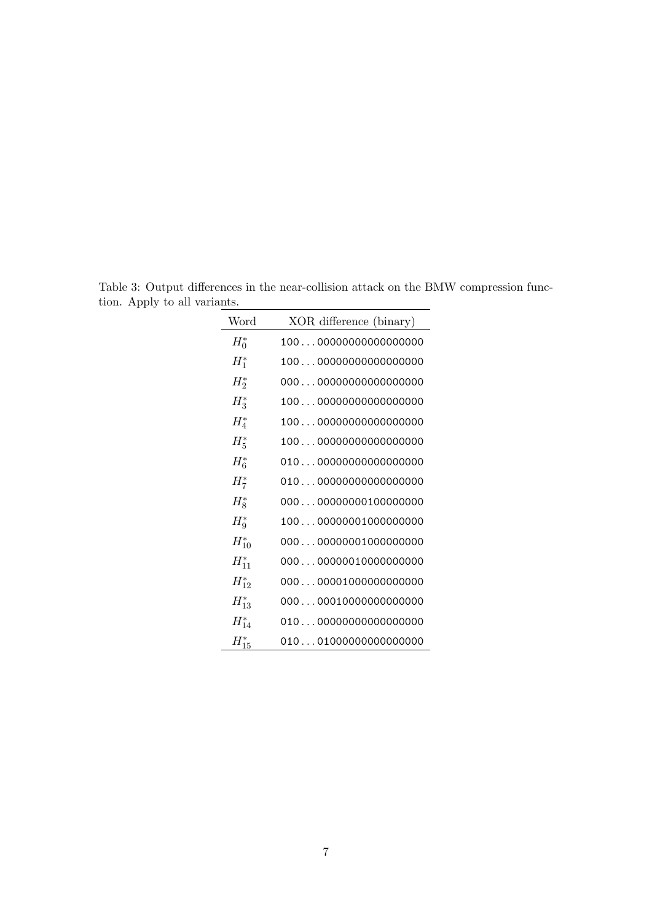| Word       | XOR difference (binary) |
|------------|-------------------------|
| $H_0^*$    | 10000000000000000000    |
| $H_1^*$    | 10000000000000000000    |
| $H_2^*$    | 00000000000000000000    |
| $H_3^*$    | 10000000000000000000    |
| $H_4^*$    | 10000000000000000000    |
| $H_5^*$    | 10000000000000000000    |
| $H_6^*$    | 01000000000000000000    |
| $H_7^*$    | 01000000000000000000    |
| $H_8^*$    | 00000000000100000000    |
| $H^*_{9}$  | 10000000001000000000    |
| $H_{10}^*$ | 00000000001000000000    |
| $H_{11}^*$ | 00000000010000000000    |
| $H_{12}^*$ | 00000001000000000000    |
| $H_{13}^*$ | 00000010000000000000    |
| $H_{14}^*$ | 01000000000000000000    |
| $H^*_{15}$ | 01001000000000000000    |

<span id="page-6-0"></span>Table 3: Output differences in the near-collision attack on the BMW compression function. Apply to all variants.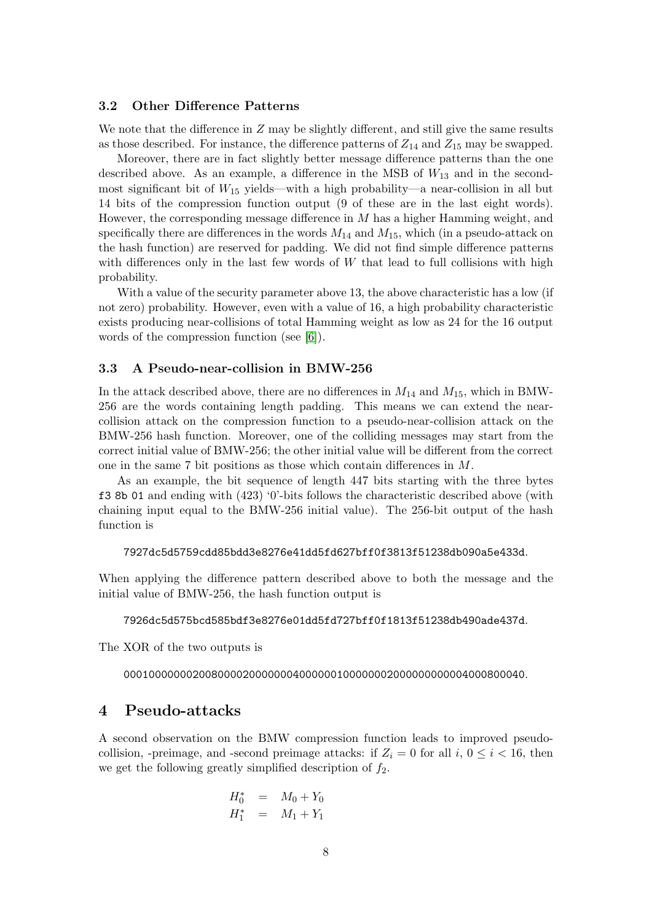## 3.2 Other Difference Patterns

We note that the difference in  $Z$  may be slightly different, and still give the same results as those described. For instance, the difference patterns of  $Z_{14}$  and  $Z_{15}$  may be swapped.

Moreover, there are in fact slightly better message difference patterns than the one described above. As an example, a difference in the MSB of  $W_{13}$  and in the secondmost significant bit of  $W_{15}$  yields—with a high probability—a near-collision in all but 14 bits of the compression function output (9 of these are in the last eight words). However, the corresponding message difference in M has a higher Hamming weight, and specifically there are differences in the words  $M_{14}$  and  $M_{15}$ , which (in a pseudo-attack on the hash function) are reserved for padding. We did not find simple difference patterns with differences only in the last few words of  $W$  that lead to full collisions with high probability.

With a value of the security parameter above 13, the above characteristic has a low (if not zero) probability. However, even with a value of 16, a high probability characteristic exists producing near-collisions of total Hamming weight as low as 24 for the 16 output words of the compression function (see [\[6\]](#page-13-3)).

## 3.3 A Pseudo-near-collision in BMW-256

In the attack described above, there are no differences in  $M_{14}$  and  $M_{15}$ , which in BMW-256 are the words containing length padding. This means we can extend the nearcollision attack on the compression function to a pseudo-near-collision attack on the BMW-256 hash function. Moreover, one of the colliding messages may start from the correct initial value of BMW-256; the other initial value will be different from the correct one in the same 7 bit positions as those which contain differences in M.

As an example, the bit sequence of length 447 bits starting with the three bytes f3 8b 01 and ending with (423) '0'-bits follows the characteristic described above (with chaining input equal to the BMW-256 initial value). The 256-bit output of the hash function is

#### 7927dc5d5759cdd85bdd3e8276e41dd5fd627bff0f3813f51238db090a5e433d.

When applying the difference pattern described above to both the message and the initial value of BMW-256, the hash function output is

#### 7926dc5d575bcd585bdf3e8276e01dd5fd727bff0f1813f51238db490ade437d.

The XOR of the two outputs is

0001000000020080000200000004000000100000002000000000004000800040.

## <span id="page-7-0"></span>4 Pseudo-attacks

A second observation on the BMW compression function leads to improved pseudocollision, -preimage, and -second preimage attacks: if  $Z_i = 0$  for all i,  $0 \le i < 16$ , then we get the following greatly simplified description of  $f_2$ .

$$
H_0^* = M_0 + Y_0 \nH_1^* = M_1 + Y_1
$$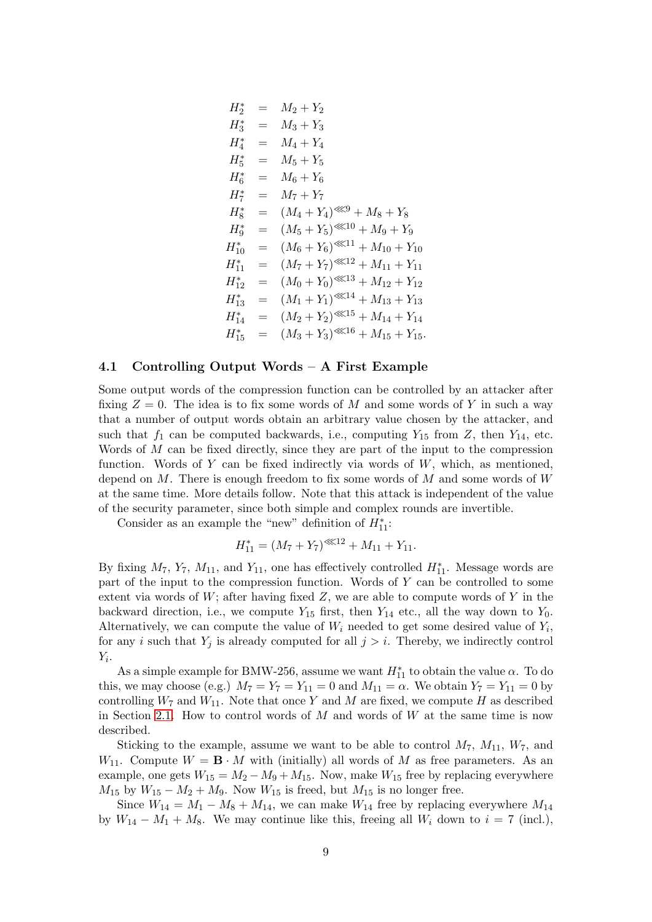$$
H_2^* = M_2 + Y_2
$$
  
\n
$$
H_3^* = M_3 + Y_3
$$
  
\n
$$
H_4^* = M_4 + Y_4
$$
  
\n
$$
H_5^* = M_5 + Y_5
$$
  
\n
$$
H_6^* = M_6 + Y_6
$$
  
\n
$$
H_7^* = M_7 + Y_7
$$
  
\n
$$
H_8^* = (M_4 + Y_4)^{\ll 9} + M_8 + Y_8
$$
  
\n
$$
H_9^* = (M_5 + Y_5)^{\ll 10} + M_9 + Y_9
$$
  
\n
$$
H_{10}^* = (M_6 + Y_6)^{\ll 11} + M_{10} + Y_{10}
$$
  
\n
$$
H_{11}^* = (M_7 + Y_7)^{\ll 12} + M_{11} + Y_{11}
$$
  
\n
$$
H_{12}^* = (M_0 + Y_0)^{\ll 13} + M_{12} + Y_{12}
$$
  
\n
$$
H_{13}^* = (M_1 + Y_1)^{\ll 14} + M_{13} + Y_{13}
$$
  
\n
$$
H_{14}^* = (M_2 + Y_2)^{\ll 15} + M_{14} + Y_{14}
$$
  
\n
$$
H_{15}^* = (M_3 + Y_3)^{\ll 16} + M_{15} + Y_{15}.
$$

## 4.1 Controlling Output Words – A First Example

Some output words of the compression function can be controlled by an attacker after fixing  $Z = 0$ . The idea is to fix some words of M and some words of Y in such a way that a number of output words obtain an arbitrary value chosen by the attacker, and such that  $f_1$  can be computed backwards, i.e., computing  $Y_{15}$  from  $Z$ , then  $Y_{14}$ , etc. Words of  $M$  can be fixed directly, since they are part of the input to the compression function. Words of  $Y$  can be fixed indirectly via words of  $W$ , which, as mentioned, depend on  $M$ . There is enough freedom to fix some words of  $M$  and some words of  $W$ at the same time. More details follow. Note that this attack is independent of the value of the security parameter, since both simple and complex rounds are invertible.

Consider as an example the "new" definition of  $H_{11}^*$ :

$$
H_{11}^* = (M_7 + Y_7)^{\lll 12} + M_{11} + Y_{11}.
$$

By fixing  $M_7$ ,  $Y_7$ ,  $M_{11}$ , and  $Y_{11}$ , one has effectively controlled  $H_{11}^*$ . Message words are part of the input to the compression function. Words of Y can be controlled to some extent via words of  $W$ ; after having fixed  $Z$ , we are able to compute words of  $Y$  in the backward direction, i.e., we compute  $Y_{15}$  first, then  $Y_{14}$  etc., all the way down to  $Y_0$ . Alternatively, we can compute the value of  $W_i$  needed to get some desired value of  $Y_i$ , for any i such that  $Y_j$  is already computed for all  $j > i$ . Thereby, we indirectly control  $Y_i$ .

As a simple example for BMW-256, assume we want  $H_{11}^*$  to obtain the value  $\alpha$ . To do this, we may choose (e.g.)  $M_7 = Y_7 = Y_{11} = 0$  and  $M_{11} = \alpha$ . We obtain  $Y_7 = Y_{11} = 0$  by controlling  $W_7$  and  $W_{11}$ . Note that once Y and M are fixed, we compute H as described in Section [2.1.](#page-2-1) How to control words of  $M$  and words of  $W$  at the same time is now described.

Sticking to the example, assume we want to be able to control  $M_7$ ,  $M_{11}$ ,  $W_7$ , and  $W_{11}$ . Compute  $W = \mathbf{B} \cdot M$  with (initially) all words of M as free parameters. As an example, one gets  $W_{15} = M_2 - M_9 + M_{15}$ . Now, make  $W_{15}$  free by replacing everywhere  $M_{15}$  by  $W_{15} - M_2 + M_9$ . Now  $W_{15}$  is freed, but  $M_{15}$  is no longer free.

Since  $W_{14} = M_1 - M_8 + M_{14}$ , we can make  $W_{14}$  free by replacing everywhere  $M_{14}$ by  $W_{14} - M_1 + M_8$ . We may continue like this, freeing all  $W_i$  down to  $i = 7$  (incl.),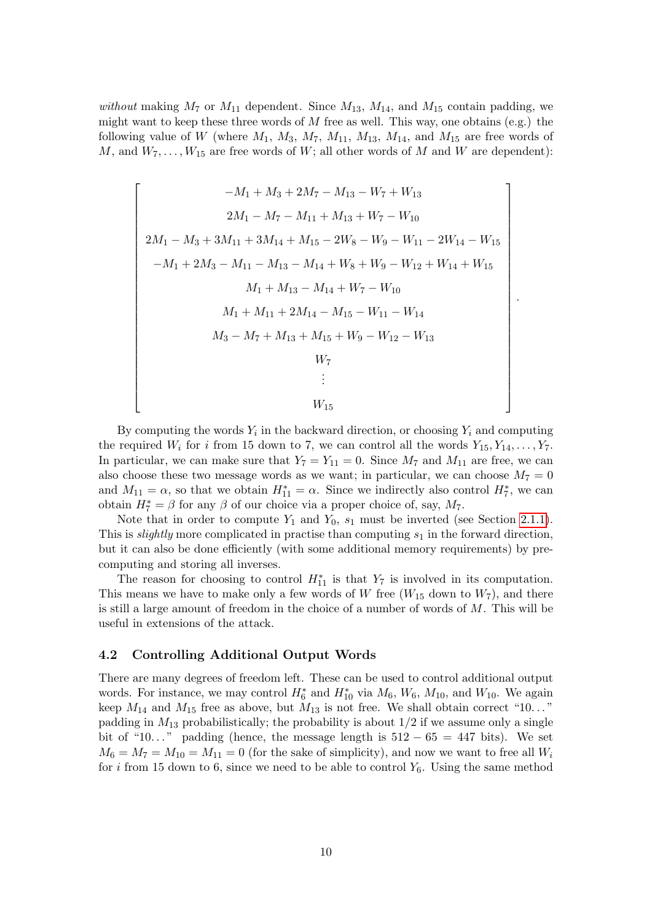without making  $M_7$  or  $M_{11}$  dependent. Since  $M_{13}$ ,  $M_{14}$ , and  $M_{15}$  contain padding, we might want to keep these three words of  $M$  free as well. This way, one obtains (e.g.) the following value of W (where  $M_1$ ,  $M_3$ ,  $M_7$ ,  $M_{11}$ ,  $M_{13}$ ,  $M_{14}$ , and  $M_{15}$  are free words of M, and  $W_7, \ldots, W_{15}$  are free words of W; all other words of M and W are dependent):

$$
-M_{1} + M_{3} + 2M_{7} - M_{13} - W_{7} + W_{13}
$$
\n
$$
2M_{1} - M_{7} - M_{11} + M_{13} + W_{7} - W_{10}
$$
\n
$$
2M_{1} - M_{3} + 3M_{11} + 3M_{14} + M_{15} - 2W_{8} - W_{9} - W_{11} - 2W_{14} - W_{15}
$$
\n
$$
-M_{1} + 2M_{3} - M_{11} - M_{13} - M_{14} + W_{8} + W_{9} - W_{12} + W_{14} + W_{15}
$$
\n
$$
M_{1} + M_{13} - M_{14} + W_{7} - W_{10}
$$
\n
$$
M_{1} + M_{11} + 2M_{14} - M_{15} - W_{11} - W_{14}
$$
\n
$$
M_{3} - M_{7} + M_{13} + M_{15} + W_{9} - W_{12} - W_{13}
$$
\n
$$
W_{7}
$$
\n
$$
\vdots
$$
\n
$$
W_{15}
$$

By computing the words  $Y_i$  in the backward direction, or choosing  $Y_i$  and computing the required  $W_i$  for i from 15 down to 7, we can control all the words  $Y_{15}, Y_{14}, \ldots, Y_7$ . In particular, we can make sure that  $Y_7 = Y_{11} = 0$ . Since  $M_7$  and  $M_{11}$  are free, we can also choose these two message words as we want; in particular, we can choose  $M_7 = 0$ and  $M_{11} = \alpha$ , so that we obtain  $H_{11}^* = \alpha$ . Since we indirectly also control  $H_7^*$ , we can obtain  $H_7^* = \beta$  for any  $\beta$  of our choice via a proper choice of, say,  $M_7$ .

Note that in order to compute  $Y_1$  and  $Y_0$ ,  $s_1$  must be inverted (see Section [2.1.1\)](#page-2-2). This is *slightly* more complicated in practise than computing  $s_1$  in the forward direction, but it can also be done efficiently (with some additional memory requirements) by precomputing and storing all inverses.

The reason for choosing to control  $H_{11}^*$  is that  $Y_7$  is involved in its computation. This means we have to make only a few words of W free  $(W_{15}$  down to  $W_7$ ), and there is still a large amount of freedom in the choice of a number of words of  $M$ . This will be useful in extensions of the attack.

### 4.2 Controlling Additional Output Words

There are many degrees of freedom left. These can be used to control additional output words. For instance, we may control  $H_6^*$  and  $H_{10}^*$  via  $M_6$ ,  $W_6$ ,  $M_{10}$ , and  $W_{10}$ . We again keep  $M_{14}$  and  $M_{15}$  free as above, but  $M_{13}$  is not free. We shall obtain correct "10..." padding in  $M_{13}$  probabilistically; the probability is about  $1/2$  if we assume only a single bit of "10..." padding (hence, the message length is  $512 - 65 = 447$  bits). We set  $M_6 = M_7 = M_{10} = M_{11} = 0$  (for the sake of simplicity), and now we want to free all  $W_i$ for i from 15 down to 6, since we need to be able to control  $Y_6$ . Using the same method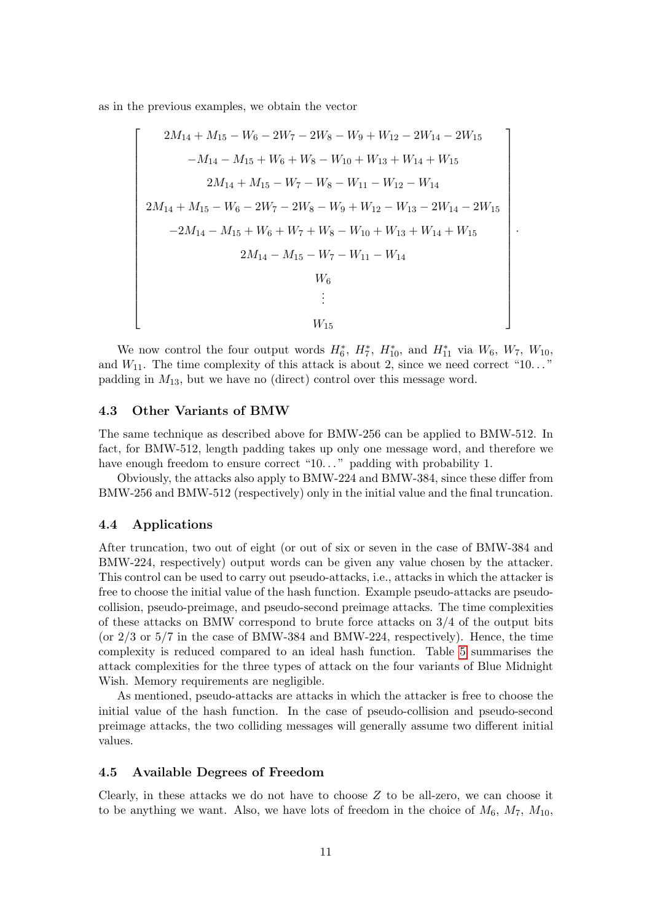as in the previous examples, we obtain the vector

$$
\begin{bmatrix}\n2M_{14} + M_{15} - W_6 - 2W_7 - 2W_8 - W_9 + W_{12} - 2W_{14} - 2W_{15} \\
-M_{14} - M_{15} + W_6 + W_8 - W_{10} + W_{13} + W_{14} + W_{15} \\
2M_{14} + M_{15} - W_7 - W_8 - W_{11} - W_{12} - W_{14} \\
2M_{14} + M_{15} - W_6 - 2W_7 - 2W_8 - W_9 + W_{12} - W_{13} - 2W_{14} - 2W_{15} \\
-2M_{14} - M_{15} + W_6 + W_7 + W_8 - W_{10} + W_{13} + W_{14} + W_{15} \\
2M_{14} - M_{15} - W_7 - W_{11} - W_{14} \\
W_6 \\
\vdots \\
W_{15}\n\end{bmatrix}
$$

.

We now control the four output words  $H_6^*$ ,  $H_7^*$ ,  $H_{10}^*$ , and  $H_{11}^*$  via  $W_6$ ,  $W_7$ ,  $W_{10}$ , and  $W_{11}$ . The time complexity of this attack is about 2, since we need correct "10..." padding in  $M_{13}$ , but we have no (direct) control over this message word.

## 4.3 Other Variants of BMW

The same technique as described above for BMW-256 can be applied to BMW-512. In fact, for BMW-512, length padding takes up only one message word, and therefore we have enough freedom to ensure correct "10..." padding with probability 1.

Obviously, the attacks also apply to BMW-224 and BMW-384, since these differ from BMW-256 and BMW-512 (respectively) only in the initial value and the final truncation.

## 4.4 Applications

After truncation, two out of eight (or out of six or seven in the case of BMW-384 and BMW-224, respectively) output words can be given any value chosen by the attacker. This control can be used to carry out pseudo-attacks, i.e., attacks in which the attacker is free to choose the initial value of the hash function. Example pseudo-attacks are pseudocollision, pseudo-preimage, and pseudo-second preimage attacks. The time complexities of these attacks on BMW correspond to brute force attacks on  $3/4$  of the output bits (or  $2/3$  or  $5/7$  in the case of BMW-384 and BMW-224, respectively). Hence, the time complexity is reduced compared to an ideal hash function. Table [5](#page-11-0) summarises the attack complexities for the three types of attack on the four variants of Blue Midnight Wish. Memory requirements are negligible.

As mentioned, pseudo-attacks are attacks in which the attacker is free to choose the initial value of the hash function. In the case of pseudo-collision and pseudo-second preimage attacks, the two colliding messages will generally assume two different initial values.

## 4.5 Available Degrees of Freedom

Clearly, in these attacks we do not have to choose  $Z$  to be all-zero, we can choose it to be anything we want. Also, we have lots of freedom in the choice of  $M_6$ ,  $M_7$ ,  $M_{10}$ ,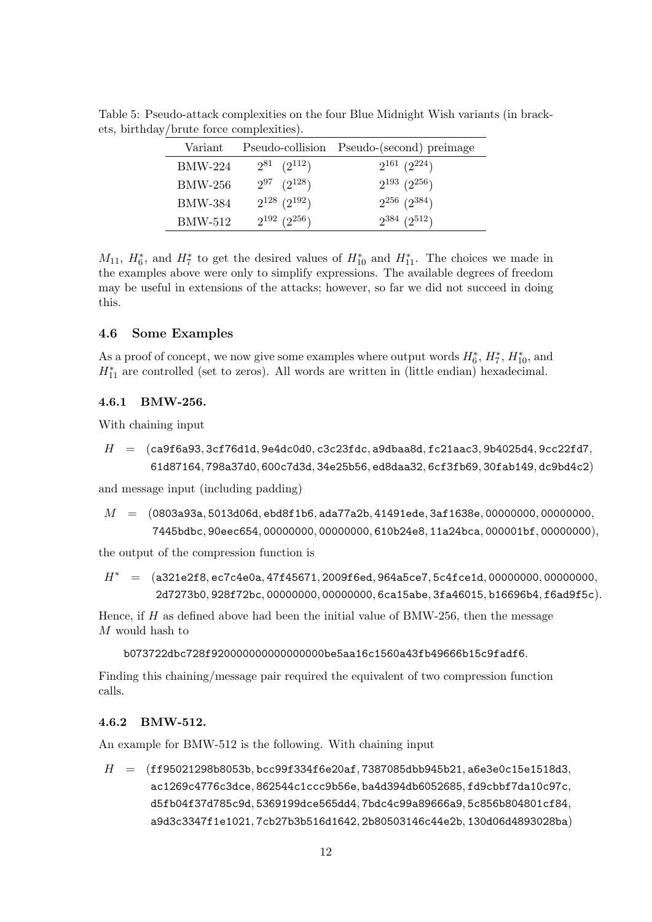<span id="page-11-0"></span>

| Variant        | Pseudo-collision      | Pseudo-(second) preimage |
|----------------|-----------------------|--------------------------|
| <b>BMW-224</b> | $2^{81}$ $(2^{112})$  | $2^{161}$ $(2^{224})$    |
| BMW-256        | $2^{97}$ $(2^{128})$  | $2^{193}$ $(2^{256})$    |
| <b>BMW-384</b> | $2^{128}$ $(2^{192})$ | $2^{256}$ $(2^{384})$    |
| BMW-512        | $2^{192}$ $(2^{256})$ | $2^{384}$ $(2^{512})$    |

Table 5: Pseudo-attack complexities on the four Blue Midnight Wish variants (in brackets, birthday/brute force complexities).

 $M_{11}$ ,  $H_6^*$ , and  $H_7^*$  to get the desired values of  $H_{10}^*$  and  $H_{11}^*$ . The choices we made in the examples above were only to simplify expressions. The available degrees of freedom may be useful in extensions of the attacks; however, so far we did not succeed in doing this.

## 4.6 Some Examples

As a proof of concept, we now give some examples where output words  $H_6^*$ ,  $H_7^*$ ,  $H_{10}^*$ , and  $H_{11}^*$  are controlled (set to zeros). All words are written in (little endian) hexadecimal.

## 4.6.1 BMW-256.

With chaining input

 $H = (ca9f6a93, 3cf76d1d, 9e4dc0d0, c3c23fdc, a9dbaa8d, fc21aac3, 9b4025d4, 9cc22fd7,$ 61d87164, 798a37d0, 600c7d3d, 34e25b56, ed8daa32, 6cf3fb69, 30fab149, dc9bd4c2)

and message input (including padding)

```
M = (0803a93a, 5013d06d, ebd8f1b6, ada77a2b, 41491ede, 3af1638e, 00000000, 00000000,7445bdbc, 90eec654, 00000000, 00000000, 610b24e8, 11a24bca, 000001bf, 00000000),
```
the output of the compression function is

H<sup>∗</sup> = (a321e2f8, ec7c4e0a, 47f45671, 2009f6ed, 964a5ce7, 5c4fce1d, 00000000, 00000000, 2d7273b0, 928f72bc, 00000000, 00000000, 6ca15abe, 3fa46015, b16696b4, f6ad9f5c).

Hence, if  $H$  as defined above had been the initial value of BMW-256, then the message M would hash to

b073722dbc728f920000000000000000be5aa16c1560a43fb49666b15c9fadf6.

Finding this chaining/message pair required the equivalent of two compression function calls.

#### 4.6.2 BMW-512.

An example for BMW-512 is the following. With chaining input

 $H =$  (ff95021298b8053b, bcc99f334f6e20af, 7387085dbb945b21, a6e3e0c15e1518d3, ac1269c4776c3dce, 862544c1ccc9b56e, ba4d394db6052685, fd9cbbf7da10c97c, d5fb04f37d785c9d, 5369199dce565dd4, 7bdc4c99a89666a9, 5c856b804801cf84, a9d3c3347f1e1021, 7cb27b3b516d1642, 2b80503146c44e2b, 130d06d4893028ba)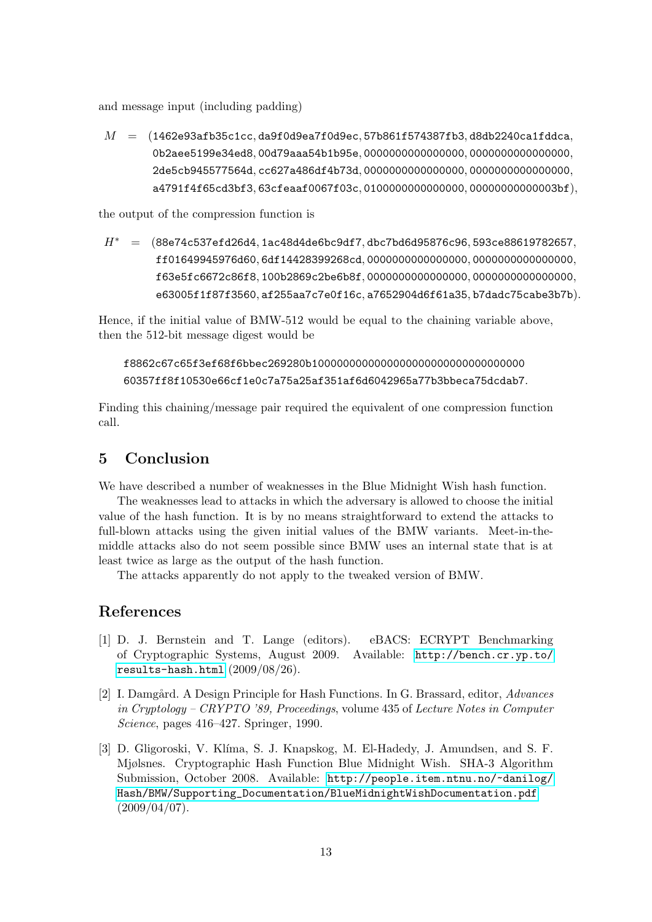and message input (including padding)

 $M = (1462e93afb35c1cc, da9f0d9ea7f0d9ec, 57b861f574387fb3, d8db2240ca1fdcca,$ 0b2aee5199e34ed8, 00d79aaa54b1b95e, 0000000000000000, 0000000000000000, 2de5cb945577564d, cc627a486df4b73d, 0000000000000000, 0000000000000000, a4791f4f65cd3bf3, 63cfeaaf0067f03c, 0100000000000000, 00000000000003bf),

the output of the compression function is

 $H^* = (88e74c537efd26d4, 1ac48d4de6bc9df7, dbc7bd6d95876c96, 593ce88619782657,$ ff01649945976d60, 6df14428399268cd, 0000000000000000, 0000000000000000, f63e5fc6672c86f8, 100b2869c2be6b8f, 0000000000000000, 0000000000000000, e63005f1f87f3560, af255aa7c7e0f16c, a7652904d6f61a35, b7dadc75cabe3b7b).

Hence, if the initial value of BMW-512 would be equal to the chaining variable above, then the 512-bit message digest would be

f8862c67c65f3ef68f6bbec269280b1000000000000000000000000000000000 60357ff8f10530e66cf1e0c7a75a25af351af6d6042965a77b3bbeca75dcdab7.

Finding this chaining/message pair required the equivalent of one compression function call.

# <span id="page-12-2"></span>5 Conclusion

We have described a number of weaknesses in the Blue Midnight Wish hash function.

The weaknesses lead to attacks in which the adversary is allowed to choose the initial value of the hash function. It is by no means straightforward to extend the attacks to full-blown attacks using the given initial values of the BMW variants. Meet-in-themiddle attacks also do not seem possible since BMW uses an internal state that is at least twice as large as the output of the hash function.

The attacks apparently do not apply to the tweaked version of BMW.

## References

- <span id="page-12-1"></span>[1] D. J. Bernstein and T. Lange (editors). eBACS: ECRYPT Benchmarking of Cryptographic Systems, August 2009. Available: [http://bench.cr.yp.to/](http://bench.cr.yp.to/results-hash.html) [results-hash.html](http://bench.cr.yp.to/results-hash.html) (2009/08/26).
- <span id="page-12-3"></span>[2] I. Damgård. A Design Principle for Hash Functions. In G. Brassard, editor, Advances in Cryptology – CRYPTO '89, Proceedings, volume 435 of Lecture Notes in Computer Science, pages 416–427. Springer, 1990.
- <span id="page-12-0"></span>[3] D. Gligoroski, V. Klíma, S. J. Knapskog, M. El-Hadedy, J. Amundsen, and S. F. Mjølsnes. Cryptographic Hash Function Blue Midnight Wish. SHA-3 Algorithm Submission, October 2008. Available: [http://people.item.ntnu.no/~danilog/](http://people.item.ntnu.no/~danilog/Hash/BMW/Supporting_Documentation/BlueMidnightWishDocumentation.pdf) [Hash/BMW/Supporting\\_Documentation/BlueMidnightWishDocumentation.pdf](http://people.item.ntnu.no/~danilog/Hash/BMW/Supporting_Documentation/BlueMidnightWishDocumentation.pdf)  $(2009/04/07)$ .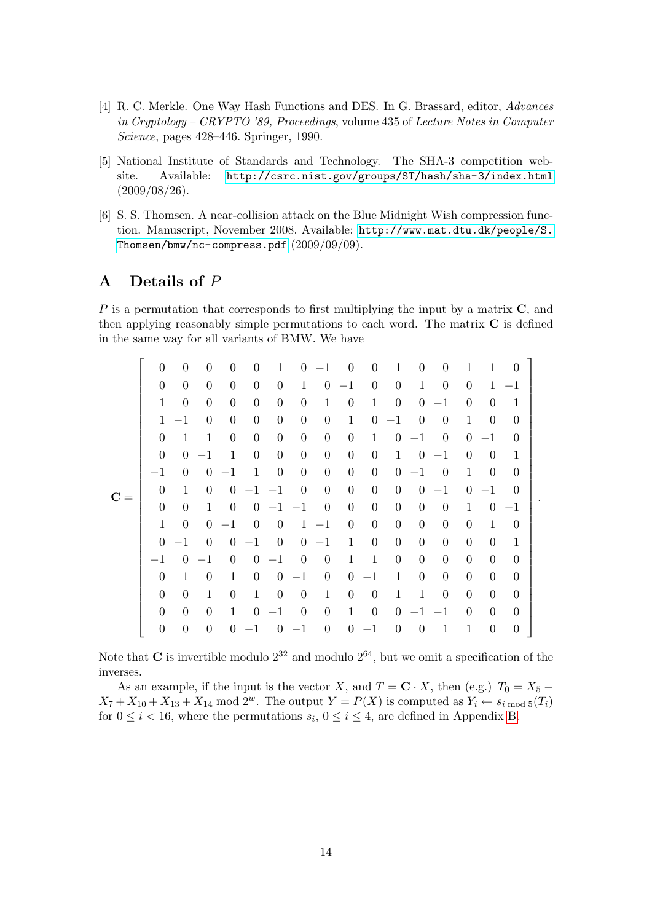- <span id="page-13-1"></span>[4] R. C. Merkle. One Way Hash Functions and DES. In G. Brassard, editor, Advances in Cryptology – CRYPTO '89, Proceedings, volume 435 of Lecture Notes in Computer Science, pages 428–446. Springer, 1990.
- <span id="page-13-0"></span>[5] National Institute of Standards and Technology. The SHA-3 competition website. Available: <http://csrc.nist.gov/groups/ST/hash/sha-3/index.html> (2009/08/26).
- <span id="page-13-3"></span>[6] S. S. Thomsen. A near-collision attack on the Blue Midnight Wish compression function. Manuscript, November 2008. Available: [http://www.mat.dtu.dk/people/S.](http://www.mat.dtu.dk/people/S.Thomsen/bmw/nc-compress.pdf) [Thomsen/bmw/nc-compress.pdf](http://www.mat.dtu.dk/people/S.Thomsen/bmw/nc-compress.pdf) (2009/09/09).

# <span id="page-13-2"></span>A Details of P

P is a permutation that corresponds to first multiplying the input by a matrix C, and then applying reasonably simple permutations to each word. The matrix  $C$  is defined in the same way for all variants of BMW. We have

|       | $\theta$         | $\theta$         | $\Omega$       | $\Omega$         | $\Omega$         | 1                |                  | $0 -1$           | $\overline{0}$   | $\overline{0}$   | 1                | $\theta$         | $\overline{0}$   | 1                | $\mathbf{1}$     | $\Omega$         |  |
|-------|------------------|------------------|----------------|------------------|------------------|------------------|------------------|------------------|------------------|------------------|------------------|------------------|------------------|------------------|------------------|------------------|--|
|       | $\theta$         | $\theta$         | $\overline{0}$ | $\overline{0}$   | $\theta$         | $\overline{0}$   | $\mathbf{1}$     |                  | $0 -1$           | $\overline{0}$   | $\boldsymbol{0}$ | $\mathbf{1}$     | $\overline{0}$   | $\boldsymbol{0}$ | $\mathbf{1}$     | $^{-1}$          |  |
|       | 1                | $\theta$         | $\overline{0}$ | $\overline{0}$   | $\boldsymbol{0}$ | $\boldsymbol{0}$ | $\boldsymbol{0}$ | $\mathbf{1}$     | $\boldsymbol{0}$ | $\mathbf{1}$     | $\overline{0}$   | $\overline{0}$   | $-1$             | $\boldsymbol{0}$ | $\boldsymbol{0}$ | $\mathbf 1$      |  |
|       | $\mathbf{1}$     | $^{-1}$          | $\Omega$       | $\overline{0}$   | $\theta$         | $\overline{0}$   | $\theta$         | $\overline{0}$   | $\mathbf{1}$     | $\overline{0}$   | $-1$             | $\overline{0}$   | $\theta$         | $\mathbf{1}$     | $\theta$         | $\theta$         |  |
|       | $\theta$         | $\mathbf{1}$     | $\mathbf{1}$   | $\boldsymbol{0}$ | $\boldsymbol{0}$ | $\boldsymbol{0}$ | $\boldsymbol{0}$ | $\boldsymbol{0}$ | $\boldsymbol{0}$ | $\mathbf{1}$     | $\overline{0}$   | $-1$             | $\overline{0}$   | $\overline{0}$   | $-1$             | $\theta$         |  |
|       | $\theta$         | $\overline{0}$   | $-1$           | $\mathbf{1}$     | $\boldsymbol{0}$ | $\overline{0}$   | $\boldsymbol{0}$ | $\boldsymbol{0}$ | $\boldsymbol{0}$ | $\boldsymbol{0}$ | $\mathbf{1}$     | $\overline{0}$   | $-1$             | $\boldsymbol{0}$ | $\theta$         | $\mathbf{1}$     |  |
|       | $-1$             | $\Omega$         | $\overline{0}$ | $-1$             | $\mathbf{1}$     | $\overline{0}$   | $\theta$         | $\overline{0}$   | $\overline{0}$   | $\theta$         | $\overline{0}$   | $-1$             | $\overline{0}$   | $\mathbf{1}$     | $\overline{0}$   | $\Omega$         |  |
|       | $\overline{0}$   | $\mathbf{1}$     | $\overline{0}$ | $\overline{0}$   | $-1$ $-1$        |                  | $\theta$         | $\boldsymbol{0}$ | $\boldsymbol{0}$ | $\boldsymbol{0}$ | $\overline{0}$   | $\overline{0}$   | $-1$             | $\overline{0}$   | $-1$             | $\theta$         |  |
| $C =$ | $\overline{0}$   | $\boldsymbol{0}$ | $\mathbf{1}$   | $\overline{0}$   |                  | $0 -1 -1$        |                  | $\overline{0}$   | $\boldsymbol{0}$ | $\boldsymbol{0}$ | $\overline{0}$   | $\boldsymbol{0}$ | $\overline{0}$   | $\mathbf{1}$     | $\overline{0}$   | $-1$             |  |
|       | $\mathbf{1}$     | $\Omega$         | $\overline{0}$ | $-1$             | $\theta$         | $\theta$         |                  | $1 -1$           | $\overline{0}$   | $\overline{0}$   | $\overline{0}$   | $\overline{0}$   | $\overline{0}$   | $\theta$         | $\mathbf{1}$     | $\theta$         |  |
|       | $\overline{0}$   | $-1$             | $\overline{0}$ | $\overline{0}$   | $-1$             | $\overline{0}$   |                  | $0 -1$           | $\mathbf{1}$     | $\boldsymbol{0}$ | $\boldsymbol{0}$ | $\boldsymbol{0}$ | $\boldsymbol{0}$ | $\boldsymbol{0}$ | $\boldsymbol{0}$ | $\mathbf{1}$     |  |
|       | $-1$             | $\overline{0}$   | $-1$           | $\overline{0}$   | $\overline{0}$   | $-1$             | $\overline{0}$   | $\overline{0}$   | $\mathbf{1}$     | $\mathbf{1}$     | $\boldsymbol{0}$ | $\boldsymbol{0}$ | $\overline{0}$   | $\boldsymbol{0}$ | $\overline{0}$   | $\overline{0}$   |  |
|       | $\theta$         | $\mathbf{1}$     | $\Omega$       | $\mathbf 1$      | $\overline{0}$   | $\overline{0}$   | $-1$             | $\overline{0}$   | $\boldsymbol{0}$ | $-1$             | $\mathbf{1}$     | $\overline{0}$   | $\overline{0}$   | $\overline{0}$   | $\theta$         | $\theta$         |  |
|       | $\boldsymbol{0}$ | $\theta$         | $\mathbf{1}$   | $\boldsymbol{0}$ | $\mathbf{1}$     | $\overline{0}$   | $\overline{0}$   | $\mathbf{1}$     | $\boldsymbol{0}$ | $\boldsymbol{0}$ | $\mathbf{1}$     | $\mathbf{1}$     | $\boldsymbol{0}$ | $\boldsymbol{0}$ | $\boldsymbol{0}$ | $\overline{0}$   |  |
|       | $\theta$         | $\overline{0}$   | $\overline{0}$ | $\mathbf{1}$     | $\overline{0}$   | $-1$             | $\overline{0}$   | $\overline{0}$   | $\mathbf{1}$     | $\overline{0}$   | $\overline{0}$   | $-1$             | $-1$             | $\theta$         | $\theta$         | $\overline{0}$   |  |
|       | $\overline{0}$   | $\theta$         | $\theta$       | $\overline{0}$   | $-1$             | $\overline{0}$   | $-1$             | $\boldsymbol{0}$ | $\boldsymbol{0}$ | $-1$             | $\theta$         | $\theta$         | $\mathbf{1}$     | $\mathbf 1$      | $\boldsymbol{0}$ | $\boldsymbol{0}$ |  |
|       |                  |                  |                |                  |                  |                  |                  |                  |                  |                  |                  |                  |                  |                  |                  |                  |  |

Note that **C** is invertible modulo  $2^{32}$  and modulo  $2^{64}$ , but we omit a specification of the inverses.

As an example, if the input is the vector X, and  $T = \mathbf{C} \cdot X$ , then (e.g.)  $T_0 = X_5$  –  $X_7 + X_{10} + X_{13} + X_{14}$  mod  $2^w$ . The output  $Y = P(X)$  is computed as  $Y_i \leftarrow s_{i \mod 5}(T_i)$ for  $0 \le i < 16$ , where the permutations  $s_i$ ,  $0 \le i \le 4$ , are defined in Appendix [B.](#page-14-0)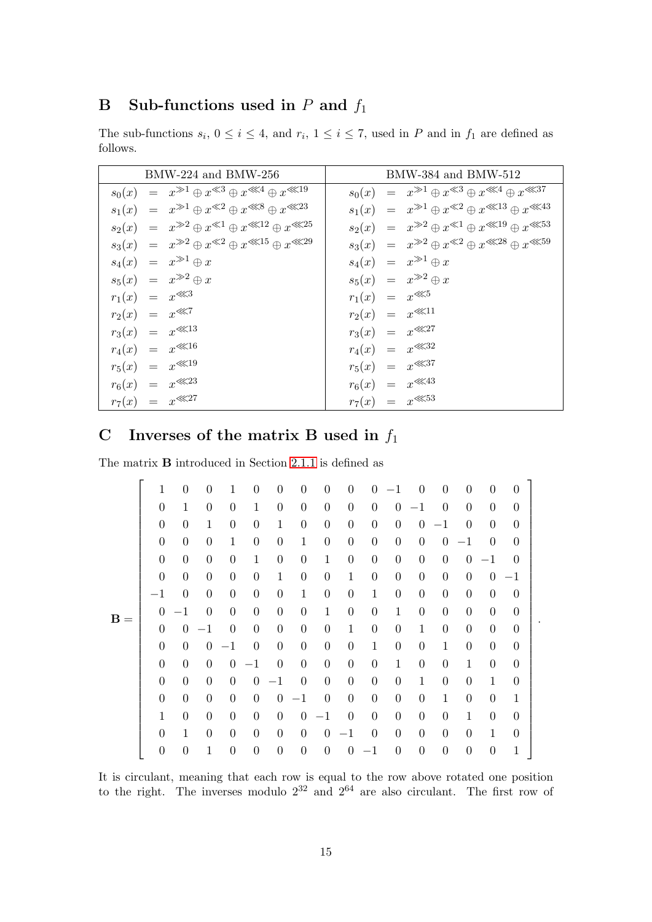# <span id="page-14-0"></span>**B** Sub-functions used in  $P$  and  $f_1$

The sub-functions  $s_i$ ,  $0 \le i \le 4$ , and  $r_i$ ,  $1 \le i \le 7$ , used in P and in  $f_1$  are defined as follows.

| $BMW-224$ and $BMW-256$                                       | $BMW-384$ and $BMW-512$                                       |
|---------------------------------------------------------------|---------------------------------------------------------------|
| $s_0(x) = x^{*1} \oplus x^{*3} \oplus x^{*4} \oplus x^{*19}$  | $s_0(x) = x^{3} \oplus x^{3} \oplus x^{3}$                    |
| $s_1(x) = x^{*1} \oplus x^{*2} \oplus x^{*3} \oplus x^{*23}$  | $s_1(x) = x^{*1} \oplus x^{*2} \oplus x^{*13} \oplus x^{*43}$ |
| $s_2(x) = x^{32} \oplus x^{31} \oplus x^{322} \oplus x^{325}$ | $s_2(x) = x^{32} \oplus x^{31} \oplus x^{32} \oplus x^{33}$   |
| $s_3(x) = x^{32} \oplus x^{32} \oplus x^{315} \oplus x^{329}$ | $s_3(x) = x^{32} \oplus x^{32} \oplus x^{328} \oplus x^{335}$ |
| $s_4(x) = x^{3} \oplus x$                                     | $s_4(x) = x^{3} \oplus x$                                     |
| $s_5(x) = x^{32} \oplus x$                                    | $s_5(x) = x^{32} \oplus x$                                    |
| $r_1(x) = x^{\lll 3}$                                         | $r_1(x) = x^{\lll 5}$                                         |
| $r_2(x) = x^{\lll 7}$                                         | $r_2(x) = x^{\lll 11}$                                        |
| $r_3(x) = x^{\lll 13}$                                        | $r_3(x) = x^{\lll 27}$                                        |
| $r_4(x) = x^{\lll 16}$                                        | $r_4(x) = x^{\lll 32}$                                        |
| $r_5(x) = x^{\lll 19}$                                        | $r_5(x) = x^{\lll 37}$                                        |
| $r_6(x) = x^{\lll 23}$                                        | $r_6(x) = x^{\lll 43}$                                        |
| $r_7(x) = x^{\lll 27}$                                        | $r_7(x) = x^{\lll 53}$                                        |

# <span id="page-14-1"></span>C Inverses of the matrix B used in  $f_1$

The matrix B introduced in Section [2.1.1](#page-2-2) is defined as

| $\mathbf{1}$   | $\overline{0}$   | $\overline{0}$   | 1                | $\overline{0}$   | $\theta$         | $\boldsymbol{0}$ | $\boldsymbol{0}$ | $\overline{0}$   | $\overline{0}$   | $-1$             | $\overline{0}$   | $\theta$         | $\overline{0}$   | $\overline{0}$   | $\overline{0}$ |  |
|----------------|------------------|------------------|------------------|------------------|------------------|------------------|------------------|------------------|------------------|------------------|------------------|------------------|------------------|------------------|----------------|--|
| $\overline{0}$ | $\mathbf{1}$     | $\boldsymbol{0}$ | $\boldsymbol{0}$ | $\mathbf{1}$     | $\boldsymbol{0}$ | $\boldsymbol{0}$ | $\boldsymbol{0}$ | $\boldsymbol{0}$ | $\boldsymbol{0}$ | $\boldsymbol{0}$ | $-1$             | $\overline{0}$   | $\boldsymbol{0}$ | $\boldsymbol{0}$ | $\overline{0}$ |  |
| $\overline{0}$ | $\boldsymbol{0}$ | $\mathbf{1}$     | $\overline{0}$   | $\boldsymbol{0}$ | $\mathbf{1}$     | $\boldsymbol{0}$ | $\boldsymbol{0}$ | $\boldsymbol{0}$ | $\boldsymbol{0}$ | $\boldsymbol{0}$ | $\boldsymbol{0}$ | $-1$             | $\theta$         | $\boldsymbol{0}$ | $\overline{0}$ |  |
| $\theta$       | $\boldsymbol{0}$ | $\boldsymbol{0}$ | $\mathbf{1}$     | $\boldsymbol{0}$ | $\boldsymbol{0}$ | $\mathbf{1}$     | $\boldsymbol{0}$ | $\boldsymbol{0}$ | $\boldsymbol{0}$ | $\boldsymbol{0}$ | $\overline{0}$   | $\boldsymbol{0}$ | $^{-1}$          | $\boldsymbol{0}$ | $\theta$       |  |
| $\overline{0}$ | $\boldsymbol{0}$ | $\boldsymbol{0}$ | $\overline{0}$   | $\mathbf{1}$     | $\boldsymbol{0}$ | $\boldsymbol{0}$ | $\mathbf{1}$     | $\boldsymbol{0}$ | $\boldsymbol{0}$ | $\boldsymbol{0}$ | $\boldsymbol{0}$ | $\boldsymbol{0}$ | $\boldsymbol{0}$ | $-1$             | $\theta$       |  |
| $\overline{0}$ | $\boldsymbol{0}$ | $\boldsymbol{0}$ | $\boldsymbol{0}$ | $\boldsymbol{0}$ | $\mathbf{1}$     | $\boldsymbol{0}$ | $\boldsymbol{0}$ | $\mathbf{1}$     | $\boldsymbol{0}$ | $\boldsymbol{0}$ | $\boldsymbol{0}$ | $\boldsymbol{0}$ | $\boldsymbol{0}$ | $\boldsymbol{0}$ | $-1$           |  |
| $-1$           | $\overline{0}$   | $\overline{0}$   | $\overline{0}$   | $\overline{0}$   | $\boldsymbol{0}$ | $\mathbf{1}$     | $\boldsymbol{0}$ | $\boldsymbol{0}$ | $\mathbf{1}$     | $\boldsymbol{0}$ | $\boldsymbol{0}$ | $\overline{0}$   | $\overline{0}$   | $\boldsymbol{0}$ | $\overline{0}$ |  |
| $\Omega$       | $^{-1}$          | $\boldsymbol{0}$ | $\theta$         | $\boldsymbol{0}$ | $\boldsymbol{0}$ | $\boldsymbol{0}$ | $\mathbf{1}$     | $\boldsymbol{0}$ | $\boldsymbol{0}$ | $\mathbf 1$      | $\boldsymbol{0}$ | $\boldsymbol{0}$ | $\boldsymbol{0}$ | $\boldsymbol{0}$ | $\overline{0}$ |  |
| $\theta$       | $\boldsymbol{0}$ | $-1$             | $\boldsymbol{0}$ | $\boldsymbol{0}$ | $\boldsymbol{0}$ | $\boldsymbol{0}$ | $\boldsymbol{0}$ | $\,1$            | $\boldsymbol{0}$ | $\boldsymbol{0}$ | $\mathbf{1}$     | $\boldsymbol{0}$ | $\boldsymbol{0}$ | $\boldsymbol{0}$ | $\overline{0}$ |  |
| $\overline{0}$ | $\overline{0}$   | $\boldsymbol{0}$ | $-1$             | $\overline{0}$   | $\boldsymbol{0}$ | $\boldsymbol{0}$ | $\boldsymbol{0}$ | $\boldsymbol{0}$ | $\mathbf{1}$     | $\boldsymbol{0}$ | $\boldsymbol{0}$ | $\mathbf{1}$     | $\boldsymbol{0}$ | $\boldsymbol{0}$ | $\overline{0}$ |  |
| $\overline{0}$ | $\boldsymbol{0}$ | $\boldsymbol{0}$ | $\boldsymbol{0}$ | $-1$             | $\boldsymbol{0}$ | $\boldsymbol{0}$ | $\boldsymbol{0}$ | $\boldsymbol{0}$ | $\boldsymbol{0}$ | $\mathbf 1$      | $\boldsymbol{0}$ | $\boldsymbol{0}$ | $\mathbf{1}$     | $\boldsymbol{0}$ | $\overline{0}$ |  |
| $\overline{0}$ | $\overline{0}$   | $\overline{0}$   | $\overline{0}$   | $\overline{0}$   | $-1$             | $\boldsymbol{0}$ | $\boldsymbol{0}$ | $\boldsymbol{0}$ | $\boldsymbol{0}$ | $\boldsymbol{0}$ | $\mathbf{1}$     | $\boldsymbol{0}$ | $\boldsymbol{0}$ | $\mathbf{1}$     | $\overline{0}$ |  |
| $\overline{0}$ | $\boldsymbol{0}$ | $\boldsymbol{0}$ | $\theta$         | $\theta$         | $\boldsymbol{0}$ | $-1$             | $\boldsymbol{0}$ | $\boldsymbol{0}$ | $\boldsymbol{0}$ | $\boldsymbol{0}$ | $\boldsymbol{0}$ | $\mathbf{1}$     | $\boldsymbol{0}$ | $\boldsymbol{0}$ | $\mathbf{1}$   |  |
| $1\,$          | $\boldsymbol{0}$ | $\boldsymbol{0}$ | $\boldsymbol{0}$ | $\boldsymbol{0}$ | $\boldsymbol{0}$ | $\boldsymbol{0}$ | $-1$             | $\boldsymbol{0}$ | $\boldsymbol{0}$ | $\boldsymbol{0}$ | $\boldsymbol{0}$ | $\boldsymbol{0}$ | $\mathbf{1}$     | $\boldsymbol{0}$ | $\overline{0}$ |  |
| $\overline{0}$ | $\mathbf{1}$     | $\boldsymbol{0}$ | $\overline{0}$   | $\overline{0}$   | $\boldsymbol{0}$ | $\boldsymbol{0}$ | $\boldsymbol{0}$ | $-1$             | $\boldsymbol{0}$ | $\boldsymbol{0}$ | $\boldsymbol{0}$ | $\overline{0}$   | $\boldsymbol{0}$ | $\mathbf{1}$     | $\overline{0}$ |  |
| $\overline{0}$ | $\overline{0}$   | $\mathbf{1}$     | $\overline{0}$   | $\boldsymbol{0}$ | $\boldsymbol{0}$ | $\boldsymbol{0}$ | $\boldsymbol{0}$ | $\boldsymbol{0}$ | $^{-1}$          | $\boldsymbol{0}$ | $\overline{0}$   | $\boldsymbol{0}$ | $\theta$         | $\boldsymbol{0}$ | $\mathbf 1$    |  |
|                |                  |                  |                  |                  |                  |                  |                  |                  |                  |                  |                  |                  |                  |                  |                |  |

.

It is circulant, meaning that each row is equal to the row above rotated one position to the right. The inverses modulo  $2^{32}$  and  $2^{64}$  are also circulant. The first row of